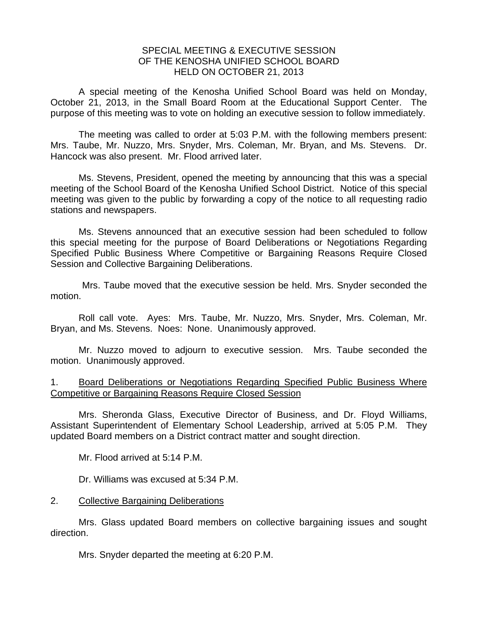## SPECIAL MEETING & EXECUTIVE SESSION OF THE KENOSHA UNIFIED SCHOOL BOARD HELD ON OCTOBER 21, 2013

A special meeting of the Kenosha Unified School Board was held on Monday, October 21, 2013, in the Small Board Room at the Educational Support Center. The purpose of this meeting was to vote on holding an executive session to follow immediately.

 The meeting was called to order at 5:03 P.M. with the following members present: Mrs. Taube, Mr. Nuzzo, Mrs. Snyder, Mrs. Coleman, Mr. Bryan, and Ms. Stevens. Dr. Hancock was also present. Mr. Flood arrived later.

 Ms. Stevens, President, opened the meeting by announcing that this was a special meeting of the School Board of the Kenosha Unified School District. Notice of this special meeting was given to the public by forwarding a copy of the notice to all requesting radio stations and newspapers.

 Ms. Stevens announced that an executive session had been scheduled to follow this special meeting for the purpose of Board Deliberations or Negotiations Regarding Specified Public Business Where Competitive or Bargaining Reasons Require Closed Session and Collective Bargaining Deliberations.

 Mrs. Taube moved that the executive session be held. Mrs. Snyder seconded the motion.

 Roll call vote. Ayes: Mrs. Taube, Mr. Nuzzo, Mrs. Snyder, Mrs. Coleman, Mr. Bryan, and Ms. Stevens. Noes: None. Unanimously approved.

 Mr. Nuzzo moved to adjourn to executive session. Mrs. Taube seconded the motion. Unanimously approved.

## 1. Board Deliberations or Negotiations Regarding Specified Public Business Where Competitive or Bargaining Reasons Require Closed Session

 Mrs. Sheronda Glass, Executive Director of Business, and Dr. Floyd Williams, Assistant Superintendent of Elementary School Leadership, arrived at 5:05 P.M. They updated Board members on a District contract matter and sought direction.

Mr. Flood arrived at 5:14 P.M.

Dr. Williams was excused at 5:34 P.M.

## 2. Collective Bargaining Deliberations

Mrs. Glass updated Board members on collective bargaining issues and sought direction.

Mrs. Snyder departed the meeting at 6:20 P.M.